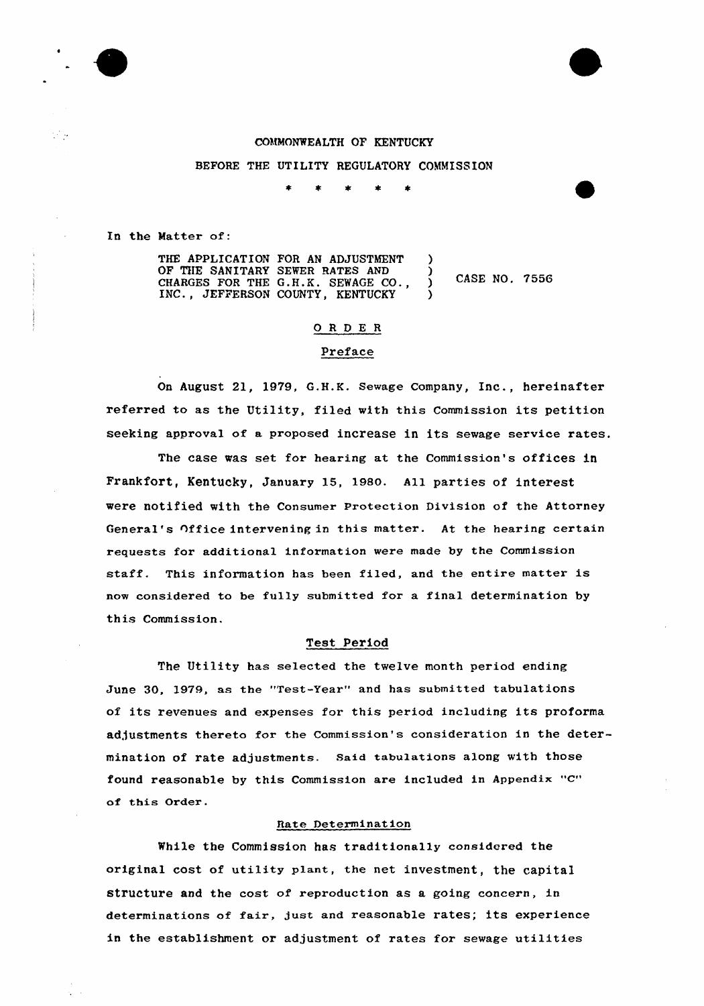### COMMONWEALTH OF KENTUCKY

BEFORE THE UTILITY REGULATORY COMMISSION

In the Matter of:

| THE APPLICATION FOR AN ADJUSTMENT  |               |  |
|------------------------------------|---------------|--|
| OF THE SANITARY SEWER RATES AND    |               |  |
| CHARGES FOR THE G.H.K. SEWAGE CO., | CASE NO. 7556 |  |
| INC., JEFFERSON COUNTY, KENTUCKY   |               |  |

#### ORDER

# Preface

On August 21, l979, G.H.K. Sewage Company, Inc., hereinafter referred to as the Utility, filed with this Commission its petition seeking approval of a proposed increase in its sewage service rates.

The case was set for hearing at the Commission's offices in Frankfort, Kentucky, January 15, 1980. All parties of interest were notified with the Consumer Protection Division of the Attorney General's Office intervening in this matter. At the hearing certain requests for additional information were made by the Commission staff. This information has been filed, and the entire matter is now considered to be fully submitted for a final determination by this Commission.

## Test Period

The Utility has selected the twelve month period ending June 30, l979, as the "Test-Year" and has submitted tabulations of its revenues and expenses for this period including its proforma adjustments thereto for the Commission's consideration in the determination of rate adjustments. Said tabulations along with those found reasonable by this Commission are included in Appendix "C" of this Order.

## Rate Determination

While the Commission has traditionally considered the original cost of utility plant, the net investment, the capital structure and the cost of reproduction as a going concern, in determinations of fair, just and reasonable rates; its experience in the establishment or adjustment of rates for sewage utilities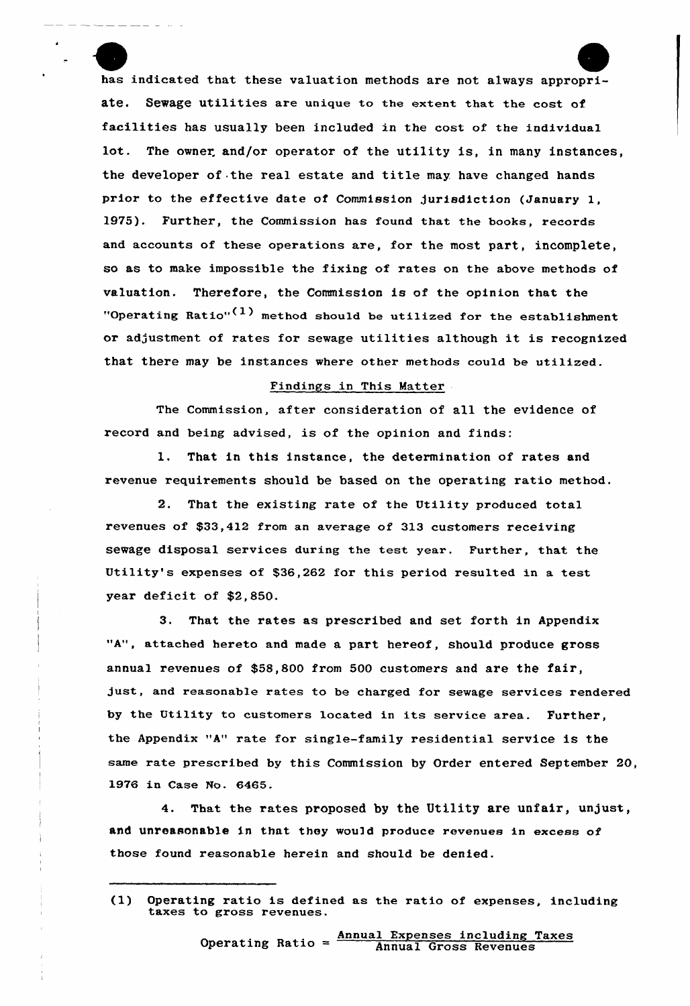has indicated that these valuation methods are not always appropriate. Sewage utilities are unique to the extent that the cost of facilities has usually been included in the cost of the individual lot. The owner. and/or operator of the utility is, in many instances, the developer of the real estate and title may. have changed hands prior to the effective date of Commission jurisdiction (January 1, 1975). Further, the Commission has found that the books, records and accounts of these operations are, for the most part, incomplete, so as to make impossible the fixing of rates on the above methods of valuation. Therefore, the Commission is of the opinion that the "Operating Ratio" $(1)$  method should be utilized for the establishment or adjustment of rates for sewage utilities although it is recognized that there may be instances where other methods could be utilized.

## Findings in This Matter

The Commission, after consideration of all the evidence of record and being advised, is of the opinion and finds:

l. That in this instance, the determination of rates and revenue requirements should be based on the operating ratio method.

2. That the existing rate of the Utility produced total revenues of \$33,412 from an average of 313 customers receiving sewage disposal services during the test year. Further, that the Utility's expenses of \$36,262 for this period resulted in a test year deficit of \$2,850.

3. That the rates as prescribed and set forth in Appendix "A", attached hereto and made a part hereof, should produce gross annual revenues of \$58,800 from 500 customers and are the fair, just, and reasonable rates to be charged for sewage services rendered by the Utility to customers located in its service area. Further, the Appendix "A" rate for single-family residential service is the same rate prescribed by this Commission by Order entered September 20, 1976 in Case No. 6465.

That the rates proposed by the Utility are unfair, unjust, and unreasonable in that they would produce revenues in excess of those found reasonable herein and should be denied.

<sup>(1)</sup> Operating ratio is defined as the ratio of expenses, including taxes to gross revenues.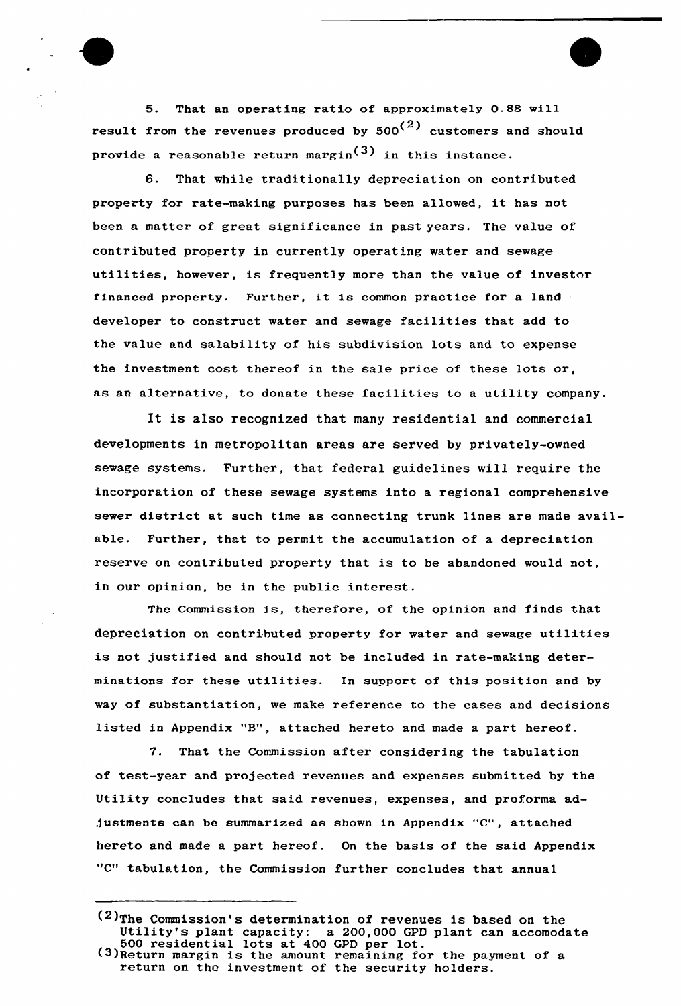5. That an operating ratio of approximately 0.88 will result from the revenues produced by  $500<sup>(2)</sup>$  customers and should provide a reasonable return margin<sup>(3)</sup> in this instance.

6. That while traditionally depreciation on contributed property for rate-making purposes has been allowed, it has not been a matter of great significance in past years. The value of contributed property in currently operating water and sewage utilities, however, is frequently more than the value of investor financed property. Further, it is common practice for <sup>a</sup> land developer to construct water and sewage facilities that add to the value and salability of his subdivision lots and to expense the investment cost thereof in the sale pxice of these lots or, as an alternative, to donate these facilities to a utility company.

It is also recognized that many residential and commercial developments in metropolitan areas are served by privately-owned sewage systems. Further, that federal guidelines will require the incorporation of these sewage systems into a regional comprehensive sewer district at such time as connecting trunk lines are made available. Further, that to permit the accumulation of a depreciation reserve on contributed property that is to be abandoned would not, in our opinion, be in the public interest.

The Commission is, therefore, of the opinion and finds that depreciation on contributed property for water and sewage utilities is not justified and should not be included in rate-making determinations for these utilities. In support of this position and by way of substantiation, we make reference to the cases and decisions listed in Appendix "8", attached hereto and made <sup>a</sup> part hereof.

7. That the Commission after considering the tabulation of test-year and projected revenues and expenses submitted by the Utility concludes that said revenues, expenses, and proforma adjustments can be summarized as shown in Appendix "C", attached hereto and made a part hereof. On the basis of the said Appendix "C" tabulation, the Commission further concludes that annual

<sup>&</sup>lt;sup>(2)</sup>The Commission's determination of revenues is based on the Utility's plant capacity: a 200,000 GPD plant can accomodate 500 residential lots at 400 GPD per lot.  $(3)$ Return margin is the amount remaining for the payment of a return on the investment of the security holders.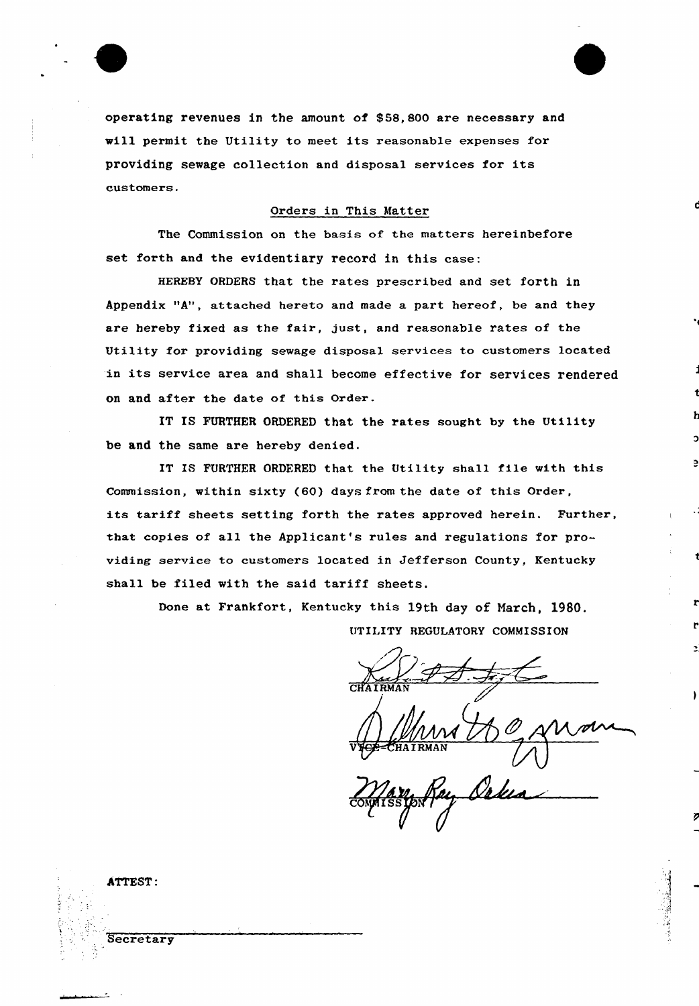

operating revenues in the amount of \$ 58, 800 are necessary and will permit the Utility to meet its reasonable expenses for providing sewage collection and disposal services for its customers.

## Orders in This Matter

The Commission on the basis of the matters hereinbefore set forth and the evidentiary record in this case:

HEREBY ORDERS that the rates prescribed and set forth in Appendix "A", attached hereto and made a part hereof, be and they are hereby fixed as the fair, just, and reasonable rates of the Utility for providing sewage disposal services to customers located in its sexvice area and shall become effective fox sexvices rendered on and after the date of this Order.

IT IS FURTHER ORDERED that the rates sought by the Utility be and the same are hereby denied.

IT IS FURTHER ORDERED that the Utility shall file with this Commission, within sixty (60) days from the date of this Oxdex, its tariff sheets setting forth the rates approved herein. Further, that copies of all the Applicant's rules and regulations for providing sexvice to customers located in Jefferson County, Kentucky shall be filed with the said tariff sheets,

> Done at Frankfort, Kentucky this 19th day of Narch, 1980. UTILITY REGULATORY COMMISSION

CHAIRMA

Mary A gravan AIRMAN

 $\mathcal{C}$  $\hat{\mathscr{J}}$ (/

| ATTEST:   |  |
|-----------|--|
|           |  |
|           |  |
| Secretary |  |
| $\cdot$   |  |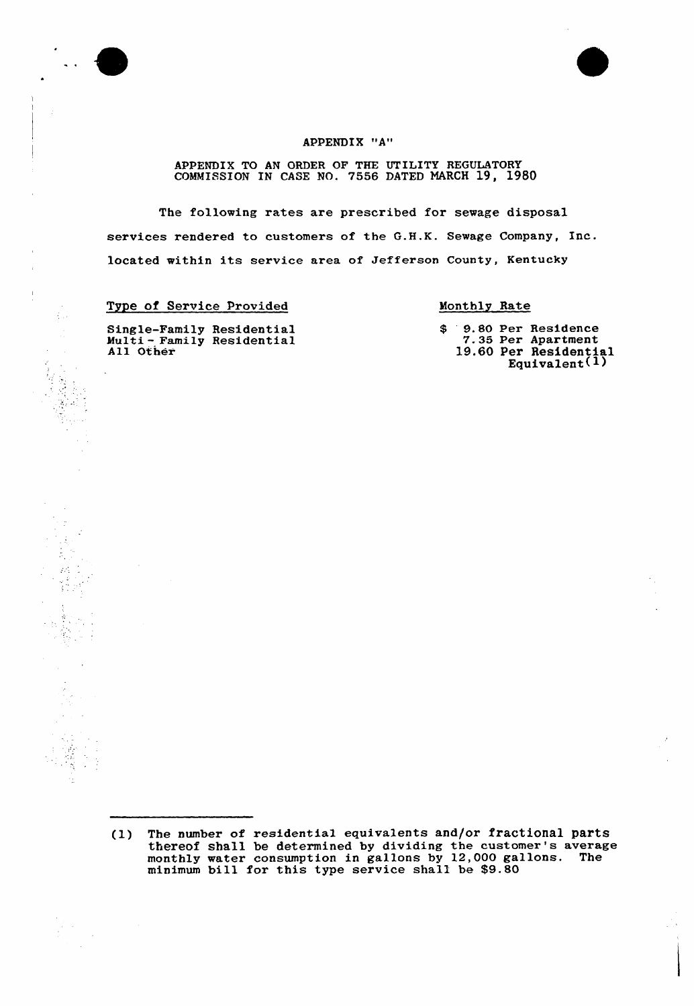

 $\mathcal{L}_{\rm{tot}}$ 



# APPENDIX "A"

APPENDIX TO AN ORDER OF THE UTILITY REGULATORY COMMISSION IN CASE NO. 7556 DATED MARCH 19, 1980

The following rates are prescribed for sewage disposal services rendered to customers of the G.H.K. Sewage Company, Inc. located within its service area of Jefferson County, Kentucky

Type of Service Provided

Monthly Rate

Single-Family Residential Multi - Family Residentia All Other

\$ 9.80 Per Residence<br>7.35 Per Apartment<br>19.60 Per Residenția Equivalent(1)

(1) The number of residential equivalents and/or fractional parts thereof shall be determined by dividing the customer's average monthly water consumption in gallons by 12,000 gallons. The minimum bill for this type service shall be \$9.80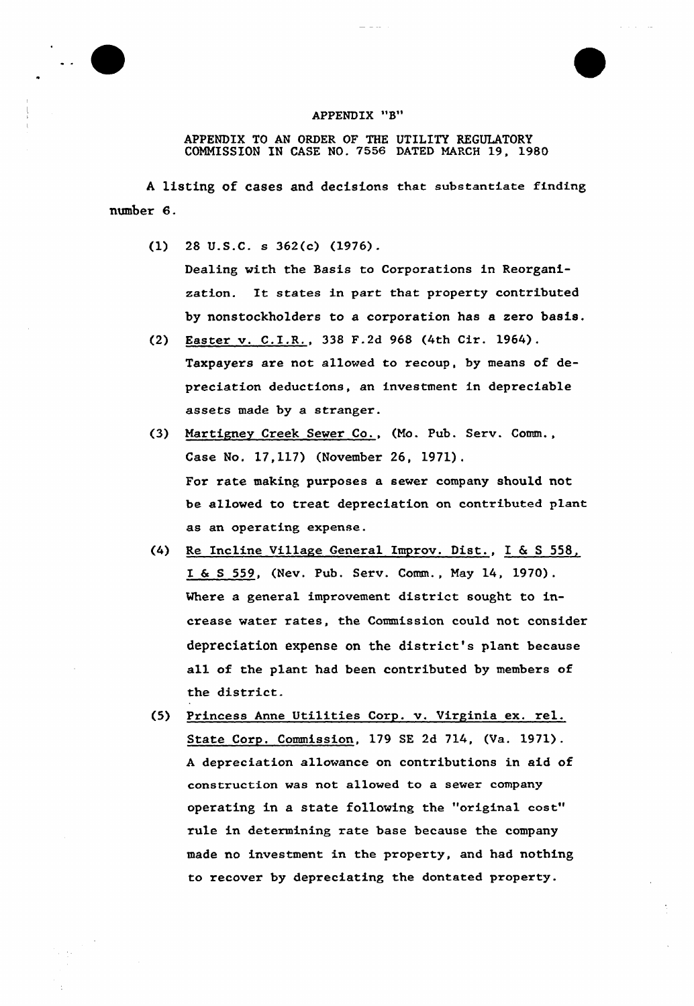# APPENDIX "B"

APPENDIX TO AN ORDER OF THE UTILITY REGULATORY COMMISSION IN CASE NO. 7556 DATED MARCH 19, 1980

<sup>A</sup> listing of cases and decisions that substantiate finding number 6.

 $(1)$  28 U.S.C. s 362 $(c)$   $(1976)$ .

Dealing with the Basis to Corporations in Reorganization. It states in part that property contributed by nonstockholders to a corporation has a zero basis.

- (2) Easter v. C.I.R., 338 F.2d 968 (4th Cir. 1964) . Taxpayers are not allowed to recoup, by means of depreciation deductions, an investment in depreciable assets made by a stranger.
- (3) Nartigney Creek Sewer Co., (No. Pub. Serv. Comm., Case No. 17,117) (November 26, 1971). For rate making purposes a sewer company should not be allowed to treat depreciation on contributed pLant as an operating expense.
- (4) Re Incline Village General Improv. Dist., I & <sup>S</sup> 558, I & <sup>S</sup> 559, (Nev. Pub. Serv. Comm., Nay 14, 19?0). Where a general improvement district sought to increase water rates, the Commission could not consider depreciation expense on the district's plant because all of the plant had been contributed by members of the district.
- (5) Princess Anne Utilities Corp. v. Virginia ex. rel. State Corp. Commission, 179 SE 2d 714, (Va. 1971). <sup>A</sup> depreciation allowance on contributions in aid of construction was not allowed to a sewer company operating in a state following the "original cost" rule in determining rate base because the company made no investment in the property, and had nothing to recover by depreciating the dontated property.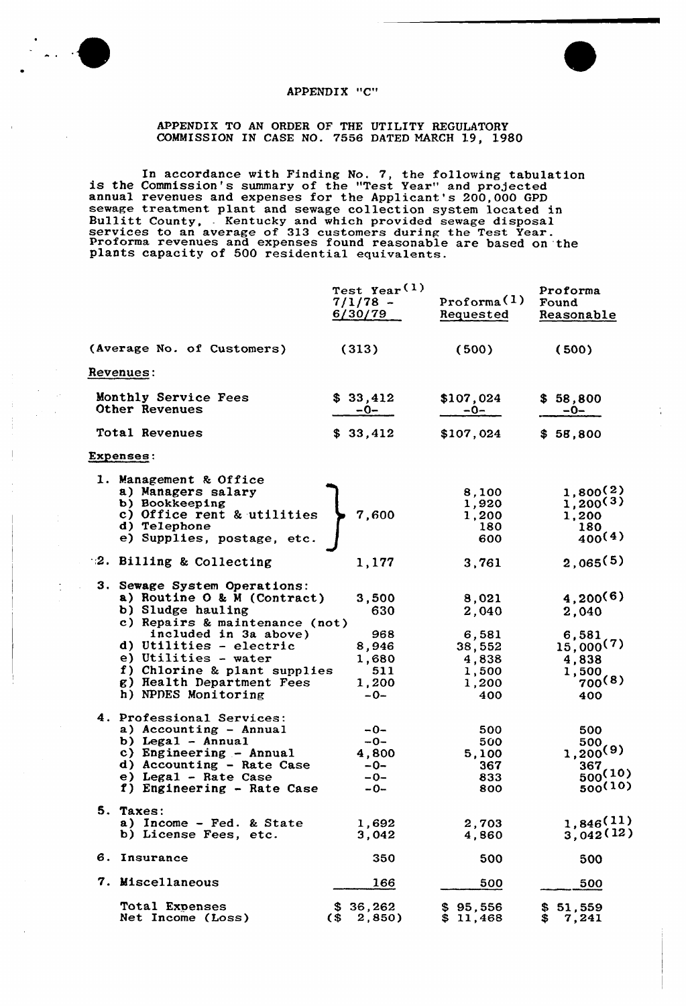

t

## APPENDIX "C"

# APPENDIX TO AN ORDER OF THE UTILITY REGULATORY COhNISSION IN CASE NO. 7556 DATED MARCH 19, 1980

In accordance with Finding No. 7, the following tabulation is summary of the "Test Year" and projected annual revenues and expenses for the Applicant's 200,000 GPD annual revenues and expenses for the applicant's 200,000 GPD<br>sewage treatment plant and sewage collection system located in<br>Bullitt County, Kentucky and which provided sewage disposal<br>services to an average of 313 customer

|                                                                                                                                                                                                                                                                | Test Year <sup>(1)</sup><br>$7/1/78 -$<br>6/30/79     | Proforma(1)<br>Requested                                     | Proforma<br>Found<br>Reasonable                                               |
|----------------------------------------------------------------------------------------------------------------------------------------------------------------------------------------------------------------------------------------------------------------|-------------------------------------------------------|--------------------------------------------------------------|-------------------------------------------------------------------------------|
| (Average No. of Customers)                                                                                                                                                                                                                                     | (313)                                                 | (500)                                                        | (500)                                                                         |
| Revenues:                                                                                                                                                                                                                                                      |                                                       |                                                              |                                                                               |
| Monthly Service Fees<br>Other Revenues                                                                                                                                                                                                                         | \$33,412<br>$-0-$                                     | \$107,024<br>$-0-$                                           | \$58,800<br>$-0-$                                                             |
| Total Revenues                                                                                                                                                                                                                                                 | \$33,412                                              | \$107,024                                                    | \$58,800                                                                      |
| <b>Expenses:</b>                                                                                                                                                                                                                                               |                                                       |                                                              |                                                                               |
| 1. Management & Office<br>a) Managers salary<br>b) Bookkeeping<br>c) Office rent & utilities<br>d) Telephone<br>e) Supplies, postage, etc.                                                                                                                     | 7,600                                                 | 8,100<br>1,920<br>1,200<br>180<br>600                        | 1,800(2)<br>1,200(3)<br>1,200<br>180<br>400(4)                                |
| 2. Billing & Collecting                                                                                                                                                                                                                                        | 1,177                                                 | 3,761                                                        | 2,065(5)                                                                      |
| 3. Sewage System Operations:<br>a) Routine $0 \& M$ (Contract)<br>b) Sludge hauling<br>c) Repairs & maintenance (not)<br>included in 3a above)<br>d) Utilities - electric<br>e) Utilities - water<br>f) Chlorine & plant supplies<br>g) Health Department Fees | 3,500<br>630<br>968<br>8,946<br>1,680<br>511<br>1,200 | 8,021<br>2,040<br>6,581<br>38,552<br>4,838<br>1,500<br>1,200 | 4,200(6)<br>2,040<br>6,581<br>$15,000^{(7)}$<br>4,838<br>1,500<br>$700^{(8)}$ |
| h) NPDES Monitoring                                                                                                                                                                                                                                            | $-0-$                                                 | 400                                                          | 400                                                                           |
| 4. Professional Services:<br>a) Accounting - Annual<br>b) Legal $-$ Annual<br>c) Engineering - Annual<br>d) Accounting - Rate Case<br>e) Legal - Rate Case<br>f) Engineering - Rate Case                                                                       | -0-<br>$-0-$<br>4,800<br>-0-<br>$-0-$<br>$-0-$        | 500<br>500<br>5,100<br>367<br>833<br>800                     | 500<br>500<br>$1,200^{(9)}$<br>367,<br>$500^{(10)}$<br>500(10)                |
| 5. Taxes:<br>a) Income - Fed. & State<br>b) License Fees, etc.                                                                                                                                                                                                 | 1,692<br>3,042                                        | 2,703<br>4,860                                               | 1,846(11)<br>3,042(12)                                                        |
| 6.<br>Insurance                                                                                                                                                                                                                                                | 350                                                   | 500                                                          | 500                                                                           |
| 7. Miscellaneous                                                                                                                                                                                                                                               | 166                                                   | 500                                                          | 500                                                                           |
| Total Expenses<br>Net Income (Loss)                                                                                                                                                                                                                            | 36,262<br>S.<br>$\sqrt{3}$<br>2,850)                  | \$95,556<br>\$11,468                                         | 51,559<br>S<br>7,241                                                          |